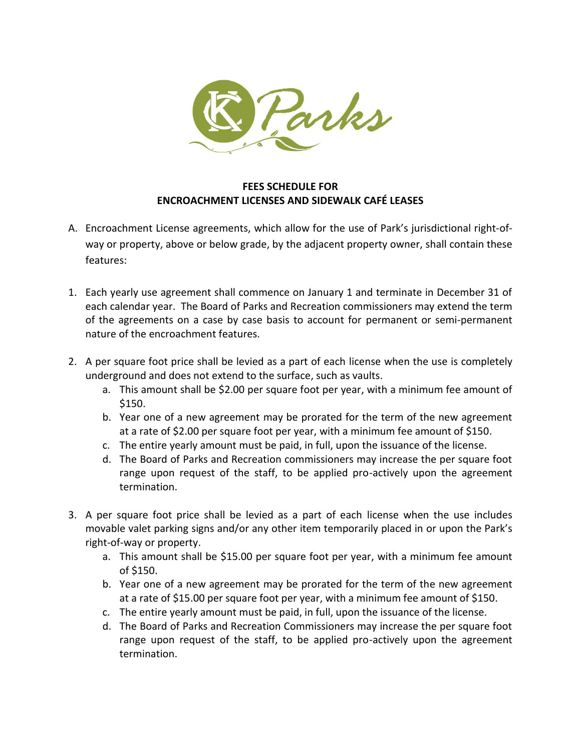

## **FEES SCHEDULE FOR ENCROACHMENT LICENSES AND SIDEWALK CAFÉ LEASES**

- A. Encroachment License agreements, which allow for the use of Park's jurisdictional right-ofway or property, above or below grade, by the adjacent property owner, shall contain these features:
- 1. Each yearly use agreement shall commence on January 1 and terminate in December 31 of each calendar year. The Board of Parks and Recreation commissioners may extend the term of the agreements on a case by case basis to account for permanent or semi-permanent nature of the encroachment features.
- 2. A per square foot price shall be levied as a part of each license when the use is completely underground and does not extend to the surface, such as vaults.
	- a. This amount shall be \$2.00 per square foot per year, with a minimum fee amount of \$150.
	- b. Year one of a new agreement may be prorated for the term of the new agreement at a rate of \$2.00 per square foot per year, with a minimum fee amount of \$150.
	- c. The entire yearly amount must be paid, in full, upon the issuance of the license.
	- d. The Board of Parks and Recreation commissioners may increase the per square foot range upon request of the staff, to be applied pro-actively upon the agreement termination.
- 3. A per square foot price shall be levied as a part of each license when the use includes movable valet parking signs and/or any other item temporarily placed in or upon the Park's right-of-way or property.
	- a. This amount shall be \$15.00 per square foot per year, with a minimum fee amount of \$150.
	- b. Year one of a new agreement may be prorated for the term of the new agreement at a rate of \$15.00 per square foot per year, with a minimum fee amount of \$150.
	- c. The entire yearly amount must be paid, in full, upon the issuance of the license.
	- d. The Board of Parks and Recreation Commissioners may increase the per square foot range upon request of the staff, to be applied pro-actively upon the agreement termination.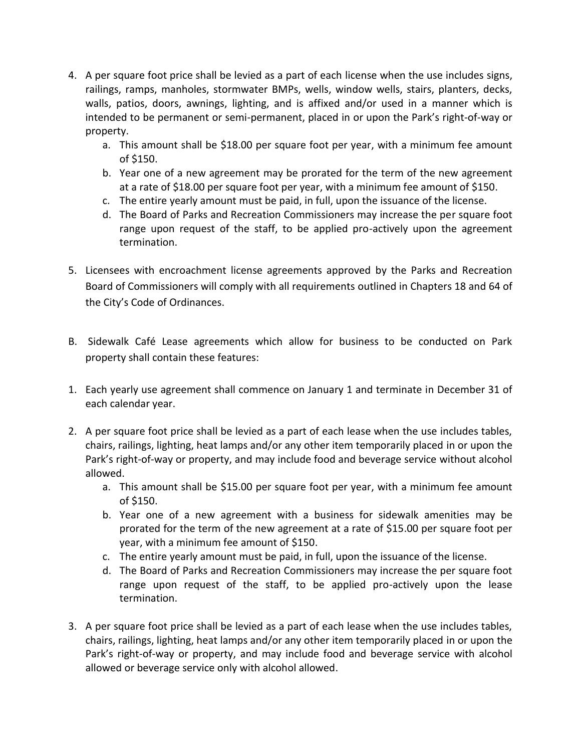- 4. A per square foot price shall be levied as a part of each license when the use includes signs, railings, ramps, manholes, stormwater BMPs, wells, window wells, stairs, planters, decks, walls, patios, doors, awnings, lighting, and is affixed and/or used in a manner which is intended to be permanent or semi-permanent, placed in or upon the Park's right-of-way or property.
	- a. This amount shall be \$18.00 per square foot per year, with a minimum fee amount of \$150.
	- b. Year one of a new agreement may be prorated for the term of the new agreement at a rate of \$18.00 per square foot per year, with a minimum fee amount of \$150.
	- c. The entire yearly amount must be paid, in full, upon the issuance of the license.
	- d. The Board of Parks and Recreation Commissioners may increase the per square foot range upon request of the staff, to be applied pro-actively upon the agreement termination.
- 5. Licensees with encroachment license agreements approved by the Parks and Recreation Board of Commissioners will comply with all requirements outlined in Chapters 18 and 64 of the City's Code of Ordinances.
- B. Sidewalk Café Lease agreements which allow for business to be conducted on Park property shall contain these features:
- 1. Each yearly use agreement shall commence on January 1 and terminate in December 31 of each calendar year.
- 2. A per square foot price shall be levied as a part of each lease when the use includes tables, chairs, railings, lighting, heat lamps and/or any other item temporarily placed in or upon the Park's right-of-way or property, and may include food and beverage service without alcohol allowed.
	- a. This amount shall be \$15.00 per square foot per year, with a minimum fee amount of \$150.
	- b. Year one of a new agreement with a business for sidewalk amenities may be prorated for the term of the new agreement at a rate of \$15.00 per square foot per year, with a minimum fee amount of \$150.
	- c. The entire yearly amount must be paid, in full, upon the issuance of the license.
	- d. The Board of Parks and Recreation Commissioners may increase the per square foot range upon request of the staff, to be applied pro-actively upon the lease termination.
- 3. A per square foot price shall be levied as a part of each lease when the use includes tables, chairs, railings, lighting, heat lamps and/or any other item temporarily placed in or upon the Park's right-of-way or property, and may include food and beverage service with alcohol allowed or beverage service only with alcohol allowed.